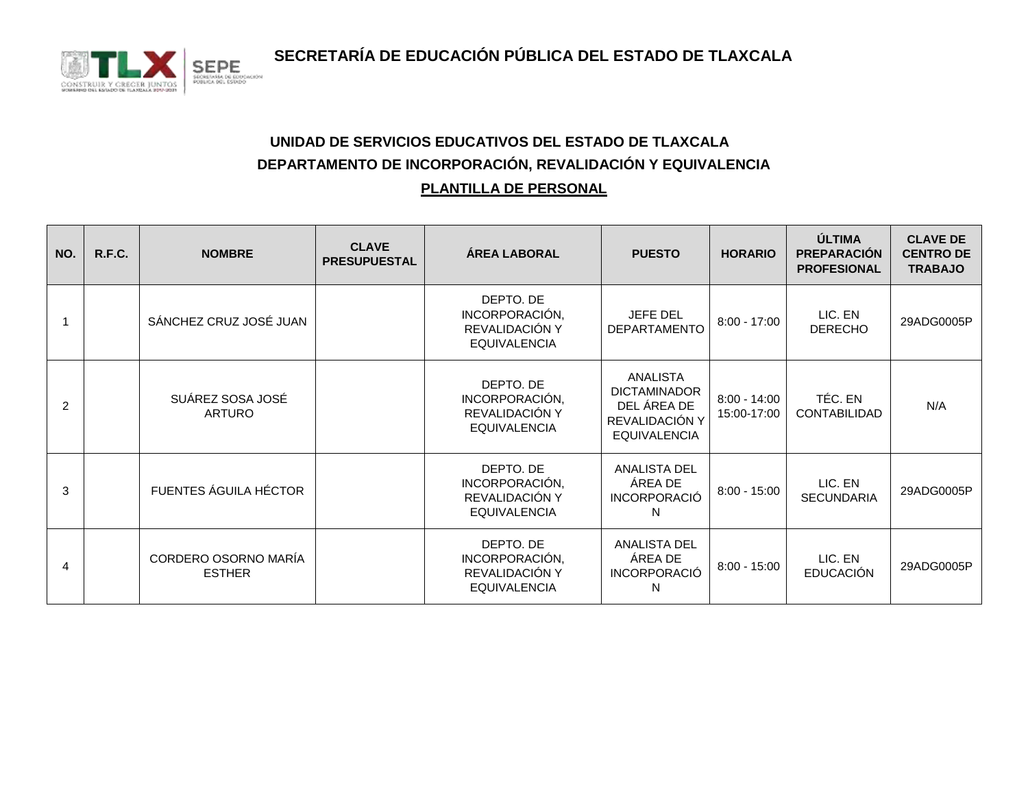**SECRETARÍA DE EDUCACIÓN PÚBLICA DEL ESTADO DE TLAXCALA**



## **UNIDAD DE SERVICIOS EDUCATIVOS DEL ESTADO DE TLAXCALA DEPARTAMENTO DE INCORPORACIÓN, REVALIDACIÓN Y EQUIVALENCIA PLANTILLA DE PERSONAL**

| NO. | R.F.C. | <b>NOMBRE</b>                         | <b>CLAVE</b><br><b>PRESUPUESTAL</b> | <b>ÁREA LABORAL</b>                                                  | <b>PUESTO</b>                                                                                  | <b>HORARIO</b>                | ÚLTIMA<br><b>PREPARACIÓN</b><br><b>PROFESIONAL</b> | <b>CLAVE DE</b><br><b>CENTRO DE</b><br><b>TRABAJO</b> |
|-----|--------|---------------------------------------|-------------------------------------|----------------------------------------------------------------------|------------------------------------------------------------------------------------------------|-------------------------------|----------------------------------------------------|-------------------------------------------------------|
|     |        | SÁNCHEZ CRUZ JOSÉ JUAN                |                                     | DEPTO. DE<br>INCORPORACIÓN,<br>REVALIDACIÓN Y<br><b>EQUIVALENCIA</b> | JEFE DEL<br><b>DEPARTAMENTO</b>                                                                | $8:00 - 17:00$                | LIC. EN<br><b>DERECHO</b>                          | 29ADG0005P                                            |
| 2   |        | SUÁREZ SOSA JOSÉ<br><b>ARTURO</b>     |                                     | DEPTO. DE<br>INCORPORACIÓN,<br>REVALIDACIÓN Y<br><b>EQUIVALENCIA</b> | <b>ANALISTA</b><br><b>DICTAMINADOR</b><br>DEL ÁREA DE<br>REVALIDACIÓN Y<br><b>EQUIVALENCIA</b> | $8:00 - 14:00$<br>15:00-17:00 | TÉC. EN<br>CONTABILIDAD                            | N/A                                                   |
| 3   |        | FUENTES ÁGUILA HÉCTOR                 |                                     | DEPTO. DE<br>INCORPORACIÓN,<br>REVALIDACIÓN Y<br><b>EQUIVALENCIA</b> | <b>ANALISTA DEL</b><br>ÁREA DE<br><b>INCORPORACIÓ</b><br>N                                     | $8:00 - 15:00$                | LIC. EN<br><b>SECUNDARIA</b>                       | 29ADG0005P                                            |
| 4   |        | CORDERO OSORNO MARÍA<br><b>ESTHER</b> |                                     | DEPTO. DE<br>INCORPORACIÓN,<br>REVALIDACIÓN Y<br><b>EQUIVALENCIA</b> | <b>ANALISTA DEL</b><br>ÁREA DE<br><b>INCORPORACIÓ</b><br>N                                     | $8:00 - 15:00$                | LIC. EN<br><b>EDUCACIÓN</b>                        | 29ADG0005P                                            |